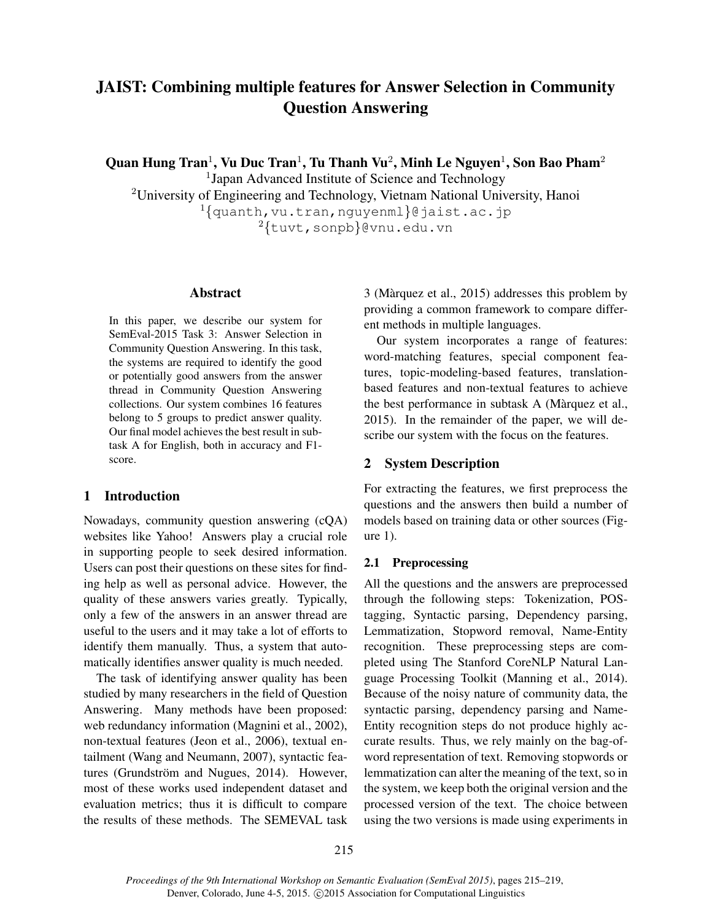# JAIST: Combining multiple features for Answer Selection in Community Question Answering

Quan Hung Tran $^1$ , Vu Duc Tran $^1$ , Tu Thanh Vu $^2$ , Minh Le Nguyen $^1$ , Son Bao Pham $^2$ 

<sup>1</sup>Japan Advanced Institute of Science and Technology

<sup>2</sup>University of Engineering and Technology, Vietnam National University, Hanoi  $1$ {quanth, vu.tran, nguyenml}@jaist.ac.jp <sup>2</sup>{tuvt,sonpb}@vnu.edu.vn

#### Abstract

In this paper, we describe our system for SemEval-2015 Task 3: Answer Selection in Community Question Answering. In this task, the systems are required to identify the good or potentially good answers from the answer thread in Community Question Answering collections. Our system combines 16 features belong to 5 groups to predict answer quality. Our final model achieves the best result in subtask A for English, both in accuracy and F1 score.

### 1 Introduction

Nowadays, community question answering (cQA) websites like Yahoo! Answers play a crucial role in supporting people to seek desired information. Users can post their questions on these sites for finding help as well as personal advice. However, the quality of these answers varies greatly. Typically, only a few of the answers in an answer thread are useful to the users and it may take a lot of efforts to identify them manually. Thus, a system that automatically identifies answer quality is much needed.

The task of identifying answer quality has been studied by many researchers in the field of Question Answering. Many methods have been proposed: web redundancy information (Magnini et al., 2002), non-textual features (Jeon et al., 2006), textual entailment (Wang and Neumann, 2007), syntactic features (Grundström and Nugues, 2014). However, most of these works used independent dataset and evaluation metrics; thus it is difficult to compare the results of these methods. The SEMEVAL task 3 (Marquez et al., 2015) addresses this problem by ` providing a common framework to compare different methods in multiple languages.

Our system incorporates a range of features: word-matching features, special component features, topic-modeling-based features, translationbased features and non-textual features to achieve the best performance in subtask A (Màrquez et al., 2015). In the remainder of the paper, we will describe our system with the focus on the features.

# 2 System Description

For extracting the features, we first preprocess the questions and the answers then build a number of models based on training data or other sources (Figure 1).

### 2.1 Preprocessing

All the questions and the answers are preprocessed through the following steps: Tokenization, POStagging, Syntactic parsing, Dependency parsing, Lemmatization, Stopword removal, Name-Entity recognition. These preprocessing steps are completed using The Stanford CoreNLP Natural Language Processing Toolkit (Manning et al., 2014). Because of the noisy nature of community data, the syntactic parsing, dependency parsing and Name-Entity recognition steps do not produce highly accurate results. Thus, we rely mainly on the bag-ofword representation of text. Removing stopwords or lemmatization can alter the meaning of the text, so in the system, we keep both the original version and the processed version of the text. The choice between using the two versions is made using experiments in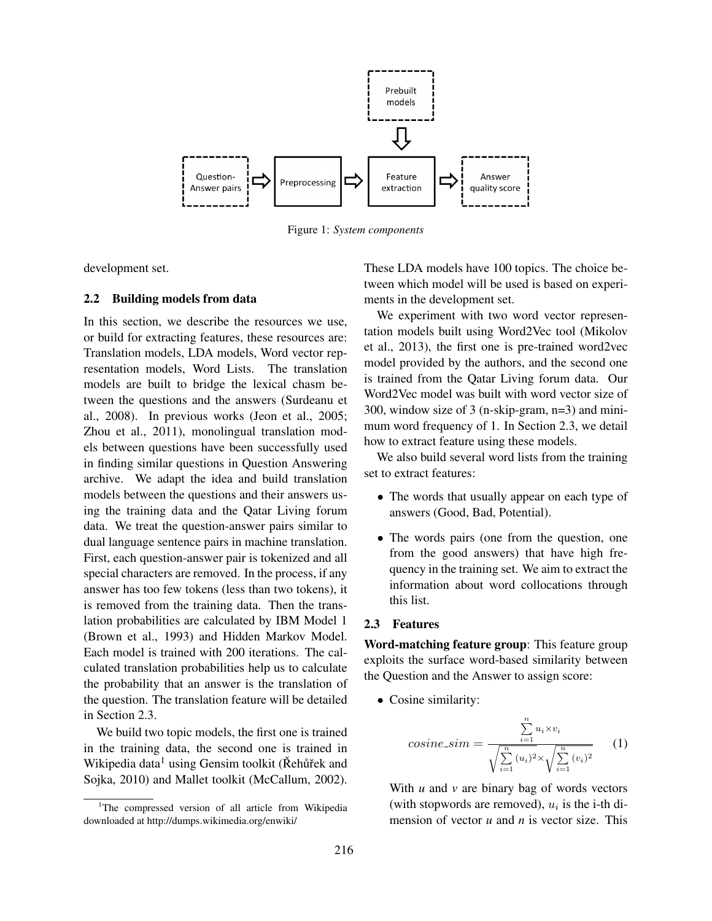

Figure 1: *System components*

development set.

#### 2.2 Building models from data

In this section, we describe the resources we use, or build for extracting features, these resources are: Translation models, LDA models, Word vector representation models, Word Lists. The translation models are built to bridge the lexical chasm between the questions and the answers (Surdeanu et al., 2008). In previous works (Jeon et al., 2005; Zhou et al., 2011), monolingual translation models between questions have been successfully used in finding similar questions in Question Answering archive. We adapt the idea and build translation models between the questions and their answers using the training data and the Qatar Living forum data. We treat the question-answer pairs similar to dual language sentence pairs in machine translation. First, each question-answer pair is tokenized and all special characters are removed. In the process, if any answer has too few tokens (less than two tokens), it is removed from the training data. Then the translation probabilities are calculated by IBM Model 1 (Brown et al., 1993) and Hidden Markov Model. Each model is trained with 200 iterations. The calculated translation probabilities help us to calculate the probability that an answer is the translation of the question. The translation feature will be detailed in Section 2.3.

We build two topic models, the first one is trained in the training data, the second one is trained in Wikipedia data<sup>1</sup> using Gensim toolkit ( $\check{R}$ ehũrek and Sojka, 2010) and Mallet toolkit (McCallum, 2002).

These LDA models have 100 topics. The choice between which model will be used is based on experiments in the development set.

We experiment with two word vector representation models built using Word2Vec tool (Mikolov et al., 2013), the first one is pre-trained word2vec model provided by the authors, and the second one is trained from the Qatar Living forum data. Our Word2Vec model was built with word vector size of 300, window size of 3 (n-skip-gram, n=3) and minimum word frequency of 1. In Section 2.3, we detail how to extract feature using these models.

We also build several word lists from the training set to extract features:

- The words that usually appear on each type of answers (Good, Bad, Potential).
- The words pairs (one from the question, one from the good answers) that have high frequency in the training set. We aim to extract the information about word collocations through this list.

#### 2.3 Features

Word-matching feature group: This feature group exploits the surface word-based similarity between the Question and the Answer to assign score:

• Cosine similarity:

$$
cosine\_sim = \frac{\sum_{i=1}^{n} u_i \times v_i}{\sqrt{\sum_{i=1}^{n} (u_i)^2} \times \sqrt{\sum_{i=1}^{n} (v_i)^2}}
$$
 (1)

With *u* and *v* are binary bag of words vectors (with stopwords are removed),  $u_i$  is the i-th dimension of vector *u* and *n* is vector size. This

<sup>&</sup>lt;sup>1</sup>The compressed version of all article from Wikipedia downloaded at http://dumps.wikimedia.org/enwiki/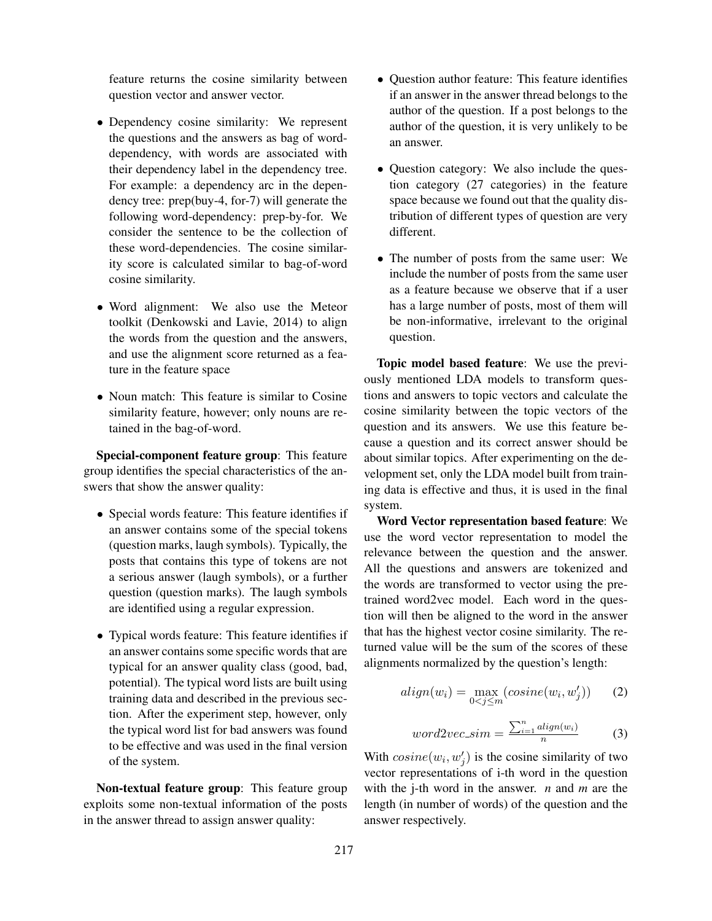feature returns the cosine similarity between question vector and answer vector.

- Dependency cosine similarity: We represent the questions and the answers as bag of worddependency, with words are associated with their dependency label in the dependency tree. For example: a dependency arc in the dependency tree: prep(buy-4, for-7) will generate the following word-dependency: prep-by-for. We consider the sentence to be the collection of these word-dependencies. The cosine similarity score is calculated similar to bag-of-word cosine similarity.
- Word alignment: We also use the Meteor toolkit (Denkowski and Lavie, 2014) to align the words from the question and the answers, and use the alignment score returned as a feature in the feature space
- Noun match: This feature is similar to Cosine similarity feature, however; only nouns are retained in the bag-of-word.

Special-component feature group: This feature group identifies the special characteristics of the answers that show the answer quality:

- Special words feature: This feature identifies if an answer contains some of the special tokens (question marks, laugh symbols). Typically, the posts that contains this type of tokens are not a serious answer (laugh symbols), or a further question (question marks). The laugh symbols are identified using a regular expression.
- Typical words feature: This feature identifies if an answer contains some specific words that are typical for an answer quality class (good, bad, potential). The typical word lists are built using training data and described in the previous section. After the experiment step, however, only the typical word list for bad answers was found to be effective and was used in the final version of the system.

Non-textual feature group: This feature group exploits some non-textual information of the posts in the answer thread to assign answer quality:

- Question author feature: This feature identifies if an answer in the answer thread belongs to the author of the question. If a post belongs to the author of the question, it is very unlikely to be an answer.
- Question category: We also include the question category (27 categories) in the feature space because we found out that the quality distribution of different types of question are very different.
- The number of posts from the same user: We include the number of posts from the same user as a feature because we observe that if a user has a large number of posts, most of them will be non-informative, irrelevant to the original question.

Topic model based feature: We use the previously mentioned LDA models to transform questions and answers to topic vectors and calculate the cosine similarity between the topic vectors of the question and its answers. We use this feature because a question and its correct answer should be about similar topics. After experimenting on the development set, only the LDA model built from training data is effective and thus, it is used in the final system.

Word Vector representation based feature: We use the word vector representation to model the relevance between the question and the answer. All the questions and answers are tokenized and the words are transformed to vector using the pretrained word2vec model. Each word in the question will then be aligned to the word in the answer that has the highest vector cosine similarity. The returned value will be the sum of the scores of these alignments normalized by the question's length:

$$
align(w_i) = \max_{0 < j \le m} (cosine(w_i, w'_j)) \qquad (2)
$$

$$
word2vec\_sim = \frac{\sum_{i=1}^{n} align(w_i)}{n} \tag{3}
$$

With  $cosine(w_i, w'_j)$  is the cosine similarity of two vector representations of i-th word in the question with the j-th word in the answer. *n* and *m* are the length (in number of words) of the question and the answer respectively.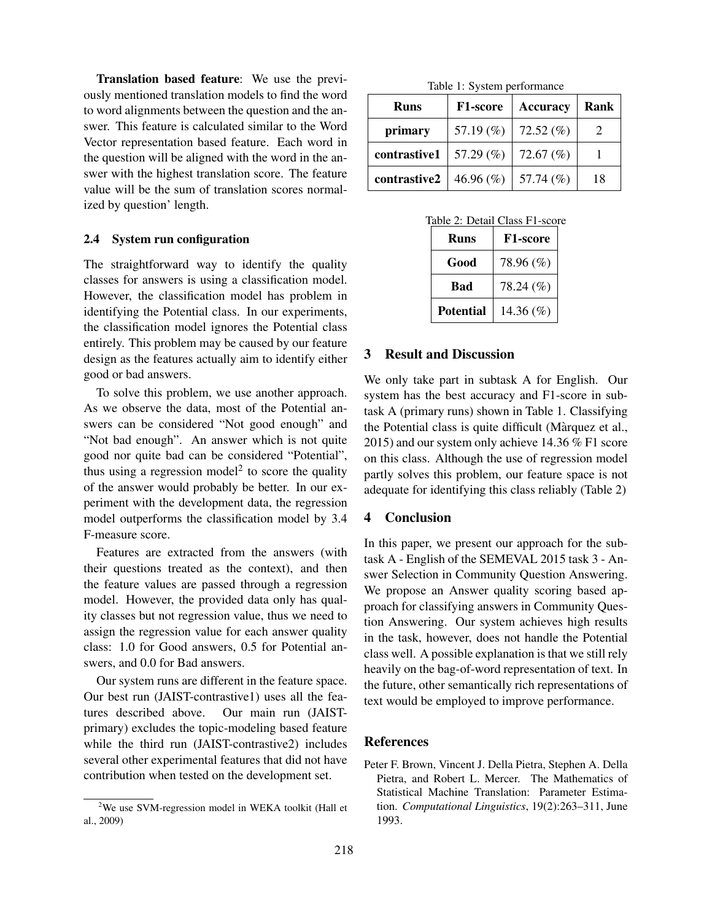Translation based feature: We use the previously mentioned translation models to find the word to word alignments between the question and the answer. This feature is calculated similar to the Word Vector representation based feature. Each word in the question will be aligned with the word in the answer with the highest translation score. The feature value will be the sum of translation scores normalized by question' length.

#### 2.4 System run configuration

The straightforward way to identify the quality classes for answers is using a classification model. However, the classification model has problem in identifying the Potential class. In our experiments, the classification model ignores the Potential class entirely. This problem may be caused by our feature design as the features actually aim to identify either good or bad answers.

To solve this problem, we use another approach. As we observe the data, most of the Potential answers can be considered "Not good enough" and "Not bad enough". An answer which is not quite good nor quite bad can be considered "Potential", thus using a regression model<sup>2</sup> to score the quality of the answer would probably be better. In our experiment with the development data, the regression model outperforms the classification model by 3.4 F-measure score.

Features are extracted from the answers (with their questions treated as the context), and then the feature values are passed through a regression model. However, the provided data only has quality classes but not regression value, thus we need to assign the regression value for each answer quality class: 1.0 for Good answers, 0.5 for Potential answers, and 0.0 for Bad answers.

Our system runs are different in the feature space. Our best run (JAIST-contrastive1) uses all the features described above. Our main run (JAISTprimary) excludes the topic-modeling based feature while the third run (JAIST-contrastive2) includes several other experimental features that did not have contribution when tested on the development set.

Table 1: System performance

| <b>Runs</b>                       | <b>F1-score</b> | <b>Accuracy</b> | Rank |
|-----------------------------------|-----------------|-----------------|------|
| primary                           | 57.19 $(\%)$    | 72.52 $(\%)$    |      |
| contrastive $1 \mid 57.29\ (\% )$ |                 | 72.67 $(\%)$    |      |
| contrastive2                      | 46.96 $(\% )$   | 57.74 $(\%)$    | 18   |

Table 2: Detail Class F1-score

| <b>Runs</b>      | <b>F1-score</b> |  |
|------------------|-----------------|--|
| Good             | 78.96 (%)       |  |
| Bad              | 78.24 (%)       |  |
| <b>Potential</b> | 14.36 $(\%)$    |  |

# 3 Result and Discussion

We only take part in subtask A for English. Our system has the best accuracy and F1-score in subtask A (primary runs) shown in Table 1. Classifying the Potential class is quite difficult (Marquez et al., ` 2015) and our system only achieve 14.36 % F1 score on this class. Although the use of regression model partly solves this problem, our feature space is not adequate for identifying this class reliably (Table 2)

## 4 Conclusion

In this paper, we present our approach for the subtask A - English of the SEMEVAL 2015 task 3 - Answer Selection in Community Question Answering. We propose an Answer quality scoring based approach for classifying answers in Community Question Answering. Our system achieves high results in the task, however, does not handle the Potential class well. A possible explanation is that we still rely heavily on the bag-of-word representation of text. In the future, other semantically rich representations of text would be employed to improve performance.

#### References

Peter F. Brown, Vincent J. Della Pietra, Stephen A. Della Pietra, and Robert L. Mercer. The Mathematics of Statistical Machine Translation: Parameter Estimation. *Computational Linguistics*, 19(2):263–311, June 1993.

 $2$ We use SVM-regression model in WEKA toolkit (Hall et al., 2009)